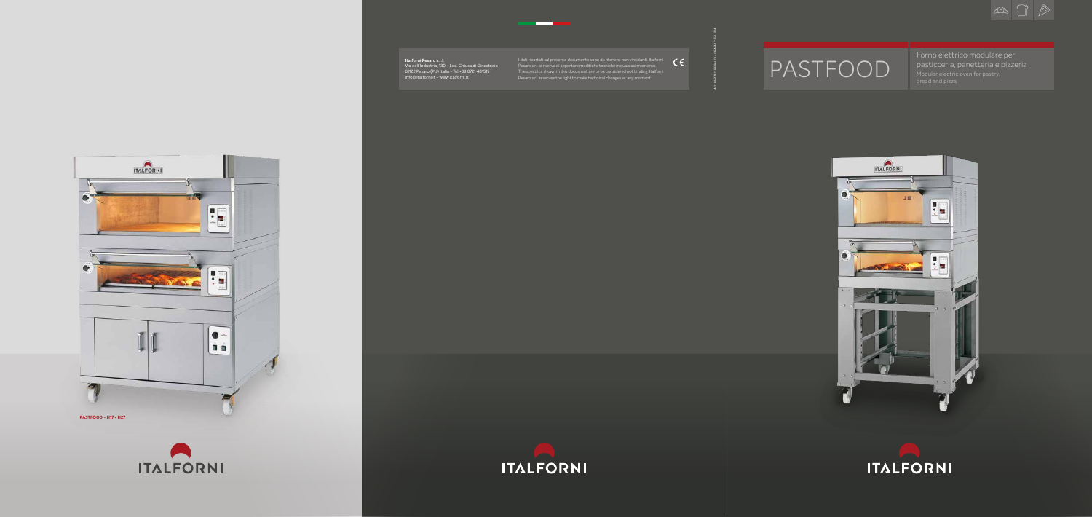# PASTFOOD

Forno elettrico modulare per pasticceria, panetteria e pizzeria Modular electric oven for pastry,





#### **Italforni Pesaro s.r.l.**

Via dell'Industria, 130 - Loc. Chiusa di Ginestreto 61122 Pesaro (PU) Italia - Tel +39 0721 481515 info@italforni.it - www.italforni.it

I dati riportati sul presente documento sono da ritenersi non vincolanti. Italforni Pesaro s.r.l. si riserva di apportare modifiche tecniche in qualsiasi momento. The specifics shown in this document are to be considered not binding. Italforni Pesaro s.r.l. reserves the right to make technical changes at any moment.

\_\_





AD: MATTEO BERALDI + GRAPHIC: E-LEVA